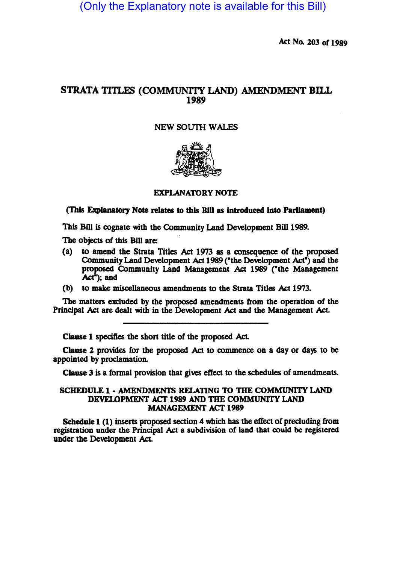(Only the Explanatory note is available for this Bill)

Act No. 203 of 1989

# STRATA TITLES (COMMUNITY LAND) AMENDMENT BILL 1989

## NEW SOUTH WALES



### EXPLANATORY NOTE

(This Explanatory Note relates to this Bill as introduced into Parliament)

This Bill is cognate with the Community Land Development Bill 1989.

The objects of this Bill are:

- (a) to amend the Strata Titles Act 1973 as a coasequence of the proposed Community Land Development Act 1989 ("the Development Act") and the proposed Community Land Management Act 1989 ("the Management  $Act<sup>*</sup>$ ; and
- (b) to make miscellaneous amendments to the Strata Titles Act 1973.

The matters excluded by the proposed amendments from the operation of the Principal Act are dealt with in the Development Act and the Management Act.

Clause 1 specifies the sbon title of the proposed Act.

Clause 2 provides for the proposed Act to commence on a day or days to be appointed by proclamation.

Clause 3 is a formal provision that gives effect to the schedules of amendments.

#### SCHEDULE 1 • AMENDMENTS RELATING TO THE COMMUNITY LAND DEVELOPMENT ACT 1989 AND THE COMMUNITY LAND MANAGEMENT ACT 1989

Schedule 1 (1) inserts proposed section 4 which has the effect of precluding from registration under the Principal Act a subdivision of land that could be registered under the Development Act.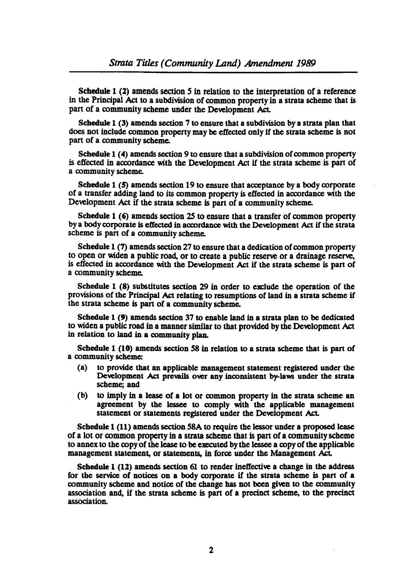Schedule 1 (2) amends section 5 in relation to the interpretation of a reference in the Principal Act to a subdivision of common property in a strata scheme that is part of a community scheme under the Development Act.

Schedule 1 (3) amends section 7 to ensure that a subdivision by a strata plan that does not include common property may be effected only if the strata scheme is not part of a community scheme.

Schedule 1 (4) amends section 9 to ensure that a subdivision of common property is effected in accordance with the Development Act if the strata scheme is part of a community scheme.

Schedule 1 (5) amends section 19 to ensure that acceptance by a body corporate of a transfer adding land to its common property is effected in accordance with the Development Act if the strata scheme is part of a community scheme.

Schedule 1 (6) amends section 25 to ensure that a transfer of common property by a body corporate is effected in accordance with the Development Act if the strata scheme is part of a community scheme.

Schedule 1 (7) amends section 27 to ensure that a dedication of common property to open or widen a public road, or to create a public reserve or a drainage reserve, is effected in accordance with the Development Act if the strata scheme is part of a community scheme.

Schedule 1 (8) substitutes section 29 in order to exclude the operation of the provisions of the Principal.Act relating to resumptions of land in a strata scheme if the strata scheme is part of a community scheme.

Schedule 1 (9) amends section 37 to enable land in a strata plan to be dedicated to widen a public road in a manner similar to that provided by the Development Act in relation to land in a community plan.

Schedule 1 (10) amends section 58 in relation to a strata scheme that is part of a community scheme:

- (a) to provide that an applicable management statement registered under the Development Act prevails over any inconsistent by-laws under the strata scheme; and
- (b) to imply in a lease of a lot or common property in the strata scheme an agreement by the lessee to comply with the applicable management statement or statements registered under the Development Act.

Schedule 1 (11) amends section 58A to require the lessor under a proposed lease of a lot or common property in a strata scheme that is part of a community scheme to annex to the copy of the lease to be executed by the lessee a copy of the applicable management statement, or statements, in force under the Management Act.

Schedule 1 (12) amends section 61 to render ineffective a change in the address for the service of notices on a body corporate if the strata scheme is part of a community scheme and notice of the change has not been given to the community association and, if the strata scheme is part of a precinct scheme, to the precinct association.